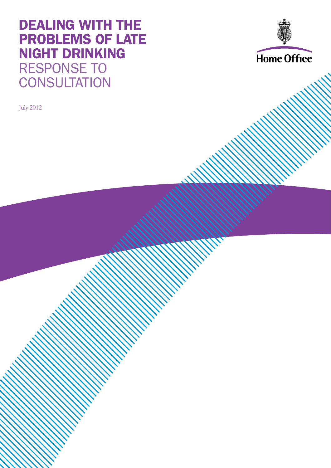## DEALING WITH THE PROBLEMS OF LATE NIGHT DRINKING RESPONSE TO **CONSULTATION**

July 2012

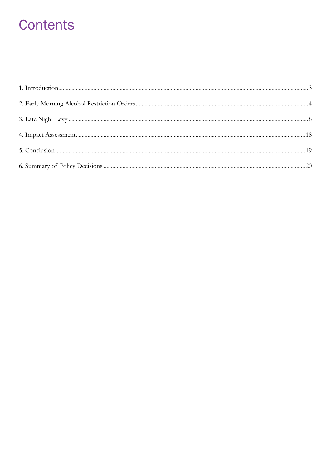## **Contents**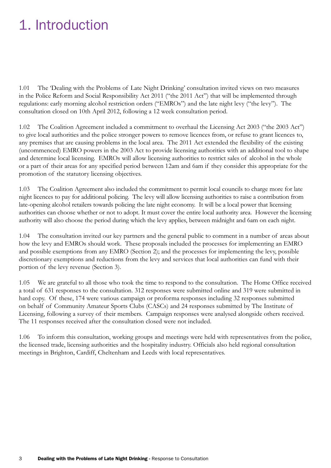# 1. Introduction

1.01 The 'Dealing with the Problems of Late Night Drinking' consultation invited views on two measures in the Police Reform and Social Responsibility Act 2011 ("the 2011 Act") that will be implemented through regulations: early morning alcohol restriction orders ("EMROs") and the late night levy ("the levy"). The consultation closed on 10th April 2012, following a 12 week consultation period.

1.02 The Coalition Agreement included a commitment to overhaul the Licensing Act 2003 ("the 2003 Act") to give local authorities and the police stronger powers to remove licences from, or refuse to grant licences to, any premises that are causing problems in the local area. The 2011 Act extended the flexibility of the existing (uncommenced) EMRO powers in the 2003 Act to provide licensing authorities with an additional tool to shape and determine local licensing. EMROs will allow licensing authorities to restrict sales of alcohol in the whole or a part of their areas for any specified period between 12am and 6am if they consider this appropriate for the promotion of the statutory licensing objectives.

1.03 The Coalition Agreement also included the commitment to permit local councils to charge more for late night licences to pay for additional policing. The levy will allow licensing authorities to raise a contribution from late-opening alcohol retailers towards policing the late night economy. It will be a local power that licensing authorities can choose whether or not to adopt. It must cover the entire local authority area. However the licensing authority will also choose the period during which the levy applies, between midnight and 6am on each night.

1.04 The consultation invited our key partners and the general public to comment in a number of areas about how the levy and EMROs should work. These proposals included the processes for implementing an EMRO and possible exemptions from any EMRO (Section 2); and the processes for implementing the levy, possible discretionary exemptions and reductions from the levy and services that local authorities can fund with their portion of the levy revenue (Section 3).

1.05 We are grateful to all those who took the time to respond to the consultation. The Home Office received a total of 631 responses to the consultation. 312 responses were submitted online and 319 were submitted in hard copy. Of these, 174 were various campaign or proforma responses including 32 responses submitted on behalf of Community Amateur Sports Clubs (CASCs) and 24 responses submitted by The Institute of Licensing, following a survey of their members. Campaign responses were analysed alongside others received. The 11 responses received after the consultation closed were not included.

1.06 To inform this consultation, working groups and meetings were held with representatives from the police, the licensed trade, licensing authorities and the hospitality industry. Officials also held regional consultation meetings in Brighton, Cardiff, Cheltenham and Leeds with local representatives.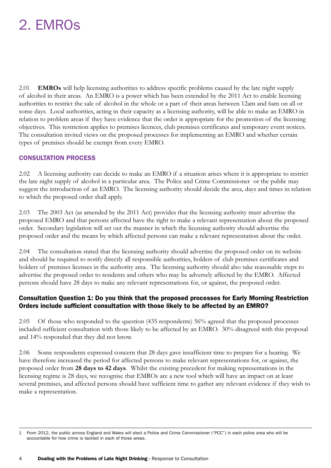## 2. EMROs

2.01 **EMROs** will help licensing authorities to address specific problems caused by the late night supply of alcohol in their areas. An EMRO is a power which has been extended by the 2011 Act to enable licensing authorities to restrict the sale of alcohol in the whole or a part of their areas between 12am and 6am on all or some days. Local authorities, acting in their capacity as a licensing authority, will be able to make an EMRO in relation to problem areas if they have evidence that the order is appropriate for the promotion of the licensing objectives. This restriction applies to premises licences, club premises certificates and temporary event notices. The consultation invited views on the proposed processes for implementing an EMRO and whether certain types of premises should be exempt from every EMRO.

#### CONSULTATION PROCESS

2.02 A licensing authority can decide to make an EMRO if a situation arises where it is appropriate to restrict the late night supply of alcohol in a particular area. The Police and Crime Commissioner or the public may suggest the introduction of an EMRO. The licensing authority should decide the area, days and times in relation to which the proposed order shall apply.

2.03 The 2003 Act (as amended by the 2011 Act) provides that the licensing authority must advertise the proposed EMRO and that persons affected have the right to make a relevant representation about the proposed order. Secondary legislation will set out the manner in which the licensing authority should advertise the proposed order and the means by which affected persons can make a relevant representation about the order.

2.04 The consultation stated that the licensing authority should advertise the proposed order on its website and should be required to notify directly all responsible authorities, holders of club premises certificates and holders of premises licenses in the authority area. The licensing authority should also take reasonable steps to advertise the proposed order to residents and others who may be adversely affected by the EMRO. Affected persons should have 28 days to make any relevant representations for, or against, the proposed order.

## Consultation Question 1: Do you think that the proposed processes for Early Morning Restriction Orders include sufficient consultation with those likely to be affected by an EMRO?

2.05 Of those who responded to the question (435 respondents) 56% agreed that the proposed processes included sufficient consultation with those likely to be affected by an EMRO. 30% disagreed with this proposal and 14% responded that they did not know.

2.06 Some respondents expressed concern that 28 days gave insufficient time to prepare for a hearing. We have therefore increased the period for affected persons to make relevant representations for, or against, the proposed order from **28 days to 42 days**. Whilst the existing precedent for making representations in the licensing regime is 28 days, we recognise that EMROs are a new tool which will have an impact on at least several premises, and affected persons should have sufficient time to gather any relevant evidence if they wish to make a representation.

<sup>1</sup> From 2012, the public across England and Wales will elect a Police and Crime Commissioner ("PCC") in each police area who will be accountable for how crime is tackled in each of those areas.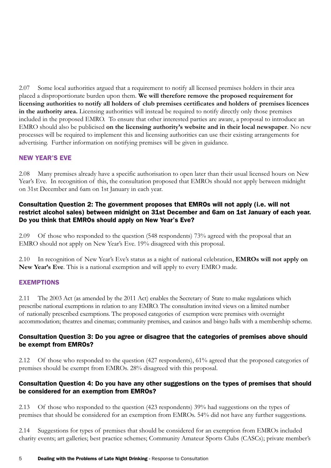2.07 Some local authorities argued that a requirement to notify all licensed premises holders in their area placed a disproportionate burden upon them. **We will therefore remove the proposed requirement for licensing authorities to notify all holders of club premises certificates and holders of premises licences in the authority area.** Licensing authorities will instead be required to notify directly only those premises included in the proposed EMRO. To ensure that other interested parties are aware, a proposal to introduce an EMRO should also be publicised **on the licensing authority's website and in their local newspaper**. No new processes will be required to implement this and licensing authorities can use their existing arrangements for advertising. Further information on notifying premises will be given in guidance.

## NEW YEAR'S EVE

2.08 Many premises already have a specific authorisation to open later than their usual licensed hours on New Year's Eve. In recognition of this, the consultation proposed that EMROs should not apply between midnight on 31st December and 6am on 1st January in each year.

## Consultation Question 2: The government proposes that EMROs will not apply (i.e. will not restrict alcohol sales) between midnight on 31st December and 6am on 1st January of each year. Do you think that EMROs should apply on New Year's Eve?

2.09 Of those who responded to the question (548 respondents) 73% agreed with the proposal that an EMRO should not apply on New Year's Eve. 19% disagreed with this proposal.

2.10 In recognition of New Year's Eve's status as a night of national celebration, **EMROs will not apply on New Year's Eve**. This is a national exemption and will apply to every EMRO made.

#### EXEMPTIONS

2.11 The 2003 Act (as amended by the 2011 Act) enables the Secretary of State to make regulations which prescribe national exemptions in relation to any EMRO. The consultation invited views on a limited number of nationally prescribed exemptions. The proposed categories of exemption were premises with overnight accommodation; theatres and cinemas; community premises, and casinos and bingo halls with a membership scheme.

#### Consultation Question 3: Do you agree or disagree that the categories of premises above should be exempt from EMROs?

2.12 Of those who responded to the question (427 respondents), 61% agreed that the proposed categories of premises should be exempt from EMROs. 28% disagreed with this proposal.

#### Consultation Question 4: Do you have any other suggestions on the types of premises that should be considered for an exemption from EMROs?

2.13 Of those who responded to the question (423 respondents) 39% had suggestions on the types of premises that should be considered for an exemption from EMROs. 54% did not have any further suggestions.

2.14 Suggestions for types of premises that should be considered for an exemption from EMROs included charity events; art galleries; best practice schemes; Community Amateur Sports Clubs (CASCs); private member's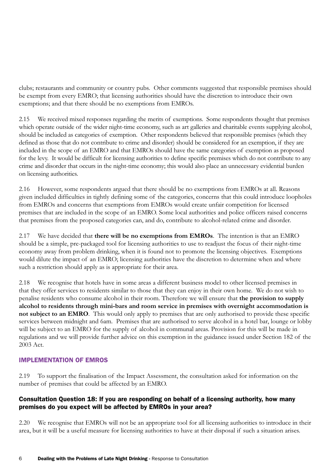clubs; restaurants and community or country pubs. Other comments suggested that responsible premises should be exempt from every EMRO; that licensing authorities should have the discretion to introduce their own exemptions; and that there should be no exemptions from EMROs.

2.15 We received mixed responses regarding the merits of exemptions. Some respondents thought that premises which operate outside of the wider night-time economy, such as art galleries and charitable events supplying alcohol, should be included as categories of exemption. Other respondents believed that responsible premises (which they defined as those that do not contribute to crime and disorder) should be considered for an exemption, if they are included in the scope of an EMRO and that EMROs should have the same categories of exemption as proposed for the levy. It would be difficult for licensing authorities to define specific premises which do not contribute to any crime and disorder that occurs in the night-time economy; this would also place an unnecessary evidential burden on licensing authorities.

2.16 However, some respondents argued that there should be no exemptions from EMROs at all. Reasons given included difficulties in tightly defining some of the categories, concerns that this could introduce loopholes from EMROs and concerns that exemptions from EMROs would create unfair competition for licensed premises that are included in the scope of an EMRO. Some local authorities and police officers raised concerns that premises from the proposed categories can, and do, contribute to alcohol-related crime and disorder.

2.17 We have decided that **there will be no exemptions from EMROs**. The intention is that an EMRO should be a simple, pre-packaged tool for licensing authorities to use to readjust the focus of their night-time economy away from problem drinking, when it is found not to promote the licensing objectives. Exemptions would dilute the impact of an EMRO; licensing authorities have the discretion to determine when and where such a restriction should apply as is appropriate for their area.

2.18 We recognise that hotels have in some areas a different business model to other licensed premises in that they offer services to residents similar to those that they can enjoy in their own home. We do not wish to penalise residents who consume alcohol in their room. Therefore we will ensure that **the provision to supply alcohol to residents through mini-bars and room service in premises with overnight accommodation is not subject to an EMRO**. This would only apply to premises that are only authorised to provide these specific services between midnight and 6am. Premises that are authorised to serve alcohol in a hotel bar, lounge or lobby will be subject to an EMRO for the supply of alcohol in communal areas. Provision for this will be made in regulations and we will provide further advice on this exemption in the guidance issued under Section 182 of the 2003 Act.

#### IMPLEMENTATION OF EMROS

2.19 To support the finalisation of the Impact Assessment, the consultation asked for information on the number of premises that could be affected by an EMRO.

## Consultation Question 18: If you are responding on behalf of a licensing authority, how many premises do you expect will be affected by EMROs in your area?

2.20 We recognise that EMROs will not be an appropriate tool for all licensing authorities to introduce in their area, but it will be a useful measure for licensing authorities to have at their disposal if such a situation arises.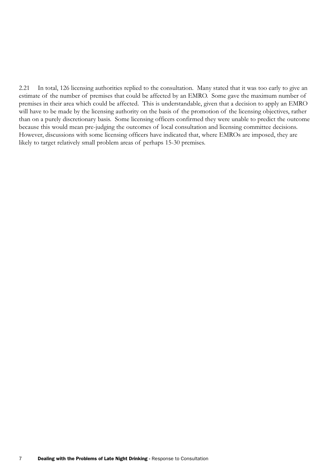2.21 In total, 126 licensing authorities replied to the consultation. Many stated that it was too early to give an estimate of the number of premises that could be affected by an EMRO. Some gave the maximum number of premises in their area which could be affected. This is understandable, given that a decision to apply an EMRO will have to be made by the licensing authority on the basis of the promotion of the licensing objectives, rather than on a purely discretionary basis. Some licensing officers confirmed they were unable to predict the outcome because this would mean pre-judging the outcomes of local consultation and licensing committee decisions. However, discussions with some licensing officers have indicated that, where EMROs are imposed, they are likely to target relatively small problem areas of perhaps 15-30 premises.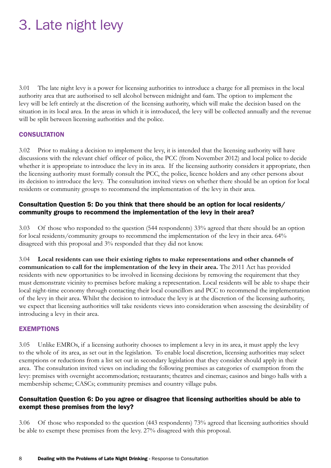# 3. Late night levy

3.01 The late night levy is a power for licensing authorities to introduce a charge for all premises in the local authority area that are authorised to sell alcohol between midnight and 6am. The option to implement the levy will be left entirely at the discretion of the licensing authority, which will make the decision based on the situation in its local area. In the areas in which it is introduced, the levy will be collected annually and the revenue will be split between licensing authorities and the police.

#### **CONSULTATION**

3.02 Prior to making a decision to implement the levy, it is intended that the licensing authority will have discussions with the relevant chief officer of police, the PCC (from November 2012) and local police to decide whether it is appropriate to introduce the levy in its area. If the licensing authority considers it appropriate, then the licensing authority must formally consult the PCC, the police, licence holders and any other persons about its decision to introduce the levy. The consultation invited views on whether there should be an option for local residents or community groups to recommend the implementation of the levy in their area.

#### Consultation Question 5: Do you think that there should be an option for local residents/ community groups to recommend the implementation of the levy in their area?

3.03 Of those who responded to the question (544 respondents) 33% agreed that there should be an option for local residents/community groups to recommend the implementation of the levy in their area. 64% disagreed with this proposal and 3% responded that they did not know.

3.04 **Local residents can use their existing rights to make representations and other channels of communication to call for the implementation of the levy in their area.** The 2011 Act has provided residents with new opportunities to be involved in licensing decisions by removing the requirement that they must demonstrate vicinity to premises before making a representation. Local residents will be able to shape their local night-time economy through contacting their local councillors and PCC to recommend the implementation of the levy in their area. Whilst the decision to introduce the levy is at the discretion of the licensing authority, we expect that licensing authorities will take residents views into consideration when assessing the desirability of introducing a levy in their area.

#### EXEMPTIONS

3.05 Unlike EMROs, if a licensing authority chooses to implement a levy in its area, it must apply the levy to the whole of its area, as set out in the legislation. To enable local discretion, licensing authorities may select exemptions or reductions from a list set out in secondary legislation that they consider should apply in their area. The consultation invited views on including the following premises as categories of exemption from the levy: premises with overnight accommodation; restaurants; theatres and cinemas; casinos and bingo halls with a membership scheme; CASCs; community premises and country village pubs.

#### Consultation Question 6: Do you agree or disagree that licensing authorities should be able to exempt these premises from the levy?

3.06 Of those who responded to the question (443 respondents) 73% agreed that licensing authorities should be able to exempt these premises from the levy. 27% disagreed with this proposal.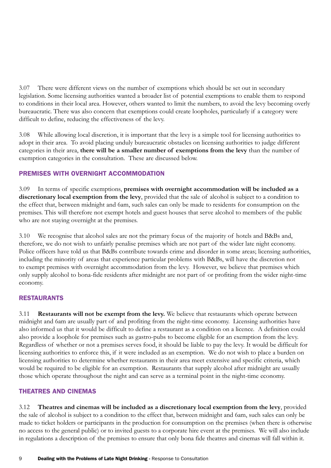3.07 There were different views on the number of exemptions which should be set out in secondary legislation. Some licensing authorities wanted a broader list of potential exemptions to enable them to respond to conditions in their local area. However, others wanted to limit the numbers, to avoid the levy becoming overly bureaucratic. There was also concern that exemptions could create loopholes, particularly if a category were difficult to define, reducing the effectiveness of the levy.

3.08 While allowing local discretion, it is important that the levy is a simple tool for licensing authorities to adopt in their area. To avoid placing unduly bureaucratic obstacles on licensing authorities to judge different categories in their area, **there will be a smaller number of exemptions from the levy** than the number of exemption categories in the consultation. These are discussed below.

## PREMISES WITH OVERNIGHT ACCOMMODATION

3.09 In terms of specific exemptions, **premises with overnight accommodation will be included as a discretionary local exemption from the levy**, provided that the sale of alcohol is subject to a condition to the effect that, between midnight and 6am, such sales can only be made to residents for consumption on the premises. This will therefore not exempt hotels and guest houses that serve alcohol to members of the public who are not staying overnight at the premises.

3.10 We recognise that alcohol sales are not the primary focus of the majority of hotels and B&Bs and, therefore, we do not wish to unfairly penalise premises which are not part of the wider late night economy. Police officers have told us that B&Bs contribute towards crime and disorder in some areas; licensing authorities, including the minority of areas that experience particular problems with B&Bs, will have the discretion not to exempt premises with overnight accommodation from the levy. However, we believe that premises which only supply alcohol to bona-fide residents after midnight are not part of or profiting from the wider night-time economy.

#### RESTAURANTS

3.11 **Restaurants will not be exempt from the levy.** We believe that restaurants which operate between midnight and 6am are usually part of and profiting from the night-time economy. Licensing authorities have also informed us that it would be difficult to define a restaurant as a condition on a licence. A definition could also provide a loophole for premises such as gastro-pubs to become eligible for an exemption from the levy. Regardless of whether or not a premises serves food, it should be liable to pay the levy. It would be difficult for licensing authorities to enforce this, if it were included as an exemption. We do not wish to place a burden on licensing authorities to determine whether restaurants in their area meet extensive and specific criteria, which would be required to be eligible for an exemption. Restaurants that supply alcohol after midnight are usually those which operate throughout the night and can serve as a terminal point in the night-time economy.

#### THEATRES AND CINEMAS

3.12 **Theatres and cinemas will be included as a discretionary local exemption from the levy**, provided the sale of alcohol is subject to a condition to the effect that, between midnight and 6am, such sales can only be made to ticket holders or participants in the production for consumption on the premises (when there is otherwise no access to the general public) or to invited guests to a corporate hire event at the premises. We will also include in regulations a description of the premises to ensure that only bona fide theatres and cinemas will fall within it.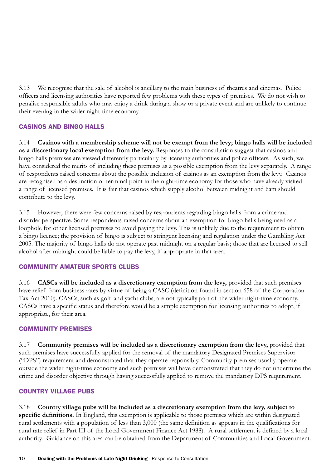3.13 We recognise that the sale of alcohol is ancillary to the main business of theatres and cinemas. Police officers and licensing authorities have reported few problems with these types of premises. We do not wish to penalise responsible adults who may enjoy a drink during a show or a private event and are unlikely to continue their evening in the wider night-time economy.

#### CASINOS AND BINGO HALLS

3.14 **Casinos with a membership scheme will not be exempt from the levy; bingo halls will be included as a discretionary local exemption from the levy.** Responses to the consultation suggest that casinos and bingo halls premises are viewed differently particularly by licensing authorities and police officers. As such, we have considered the merits of including these premises as a possible exemption from the levy separately. A range of respondents raised concerns about the possible inclusion of casinos as an exemption from the levy. Casinos are recognised as a destination or terminal point in the night-time economy for those who have already visited a range of licensed premises. It is fair that casinos which supply alcohol between midnight and 6am should contribute to the levy.

3.15 However, there were few concerns raised by respondents regarding bingo halls from a crime and disorder perspective. Some respondents raised concerns about an exemption for bingo halls being used as a loophole for other licensed premises to avoid paying the levy. This is unlikely due to the requirement to obtain a bingo licence; the provision of bingo is subject to stringent licensing and regulation under the Gambling Act 2005. The majority of bingo halls do not operate past midnight on a regular basis; those that are licensed to sell alcohol after midnight could be liable to pay the levy, if appropriate in that area.

#### COMMUNITY AMATEUR SPORTS CLUBS

3.16 **CASCs will be included as a discretionary exemption from the levy,** provided that such premises have relief from business rates by virtue of being a CASC (definition found in section 658 of the Corporation Tax Act 2010). CASCs, such as golf and yacht clubs, are not typically part of the wider night-time economy. CASCs have a specific status and therefore would be a simple exemption for licensing authorities to adopt, if appropriate, for their area.

#### COMMUNITY PREMISES

3.17 **Community premises will be included as a discretionary exemption from the levy,** provided that such premises have successfully applied for the removal of the mandatory Designated Premises Supervisor ("DPS") requirement and demonstrated that they operate responsibly. Community premises usually operate outside the wider night-time economy and such premises will have demonstrated that they do not undermine the crime and disorder objective through having successfully applied to remove the mandatory DPS requirement.

#### COUNTRY VILLAGE PUBS

3.18 **Country village pubs will be included as a discretionary exemption from the levy, subject to specific definitions.** In England, this exemption is applicable to those premises which are within designated rural settlements with a population of less than 3,000 (the same definition as appears in the qualifications for rural rate relief in Part III of the Local Government Finance Act 1988). A rural settlement is defined by a local authority. Guidance on this area can be obtained from the Department of Communities and Local Government.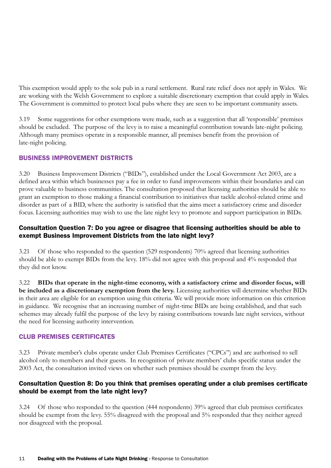This exemption would apply to the sole pub in a rural settlement. Rural rate relief does not apply in Wales. We are working with the Welsh Government to explore a suitable discretionary exemption that could apply in Wales. The Government is committed to protect local pubs where they are seen to be important community assets.

3.19 Some suggestions for other exemptions were made, such as a suggestion that all 'responsible' premises should be excluded. The purpose of the levy is to raise a meaningful contribution towards late-night policing. Although many premises operate in a responsible manner, all premises benefit from the provision of late-night policing.

## BUSINESS IMPROVEMENT DISTRICTS

3.20 Business Improvement Districts ("BIDs"), established under the Local Government Act 2003, are a defined area within which businesses pay a fee in order to fund improvements within their boundaries and can prove valuable to business communities. The consultation proposed that licensing authorities should be able to grant an exemption to those making a financial contribution to initiatives that tackle alcohol-related crime and disorder as part of a BID, where the authority is satisfied that the aims meet a satisfactory crime and disorder focus. Licensing authorities may wish to use the late night levy to promote and support participation in BIDs.

#### Consultation Question 7: Do you agree or disagree that licensing authorities should be able to exempt Business Improvement Districts from the late night levy?

3.21 Of those who responded to the question (529 respondents) 70% agreed that licensing authorities should be able to exempt BIDs from the levy. 18% did not agree with this proposal and 4% responded that they did not know.

3.22 **BIDs that operate in the night-time economy, with a satisfactory crime and disorder focus, will be included as a discretionary exemption from the levy.** Licensing authorities will determine whether BIDs in their area are eligible for an exemption using this criteria. We will provide more information on this criterion in guidance. We recognise that an increasing number of night-time BIDs are being established, and that such schemes may already fulfil the purpose of the levy by raising contributions towards late night services, without the need for licensing authority intervention.

#### CLUB PREMISES CERTIFICATES

3.23 Private member's clubs operate under Club Premises Certificates ("CPCs") and are authorised to sell alcohol only to members and their guests. In recognition of private members' clubs specific status under the 2003 Act, the consultation invited views on whether such premises should be exempt from the levy.

#### Consultation Question 8: Do you think that premises operating under a club premises certificate should be exempt from the late night levy?

3.24 Of those who responded to the question (444 respondents) 39% agreed that club premises certificates should be exempt from the levy. 55% disagreed with the proposal and 5% responded that they neither agreed nor disagreed with the proposal.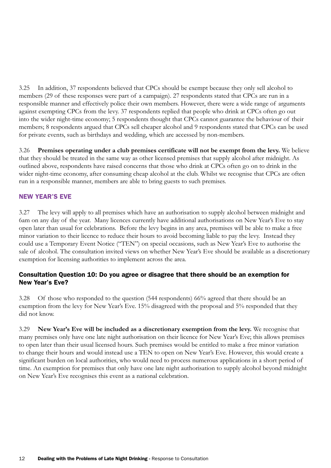3.25 In addition, 37 respondents believed that CPCs should be exempt because they only sell alcohol to members (29 of these responses were part of a campaign). 27 respondents stated that CPCs are run in a responsible manner and effectively police their own members. However, there were a wide range of arguments against exempting CPCs from the levy. 37 respondents replied that people who drink at CPCs often go out into the wider night-time economy; 5 respondents thought that CPCs cannot guarantee the behaviour of their members; 8 respondents argued that CPCs sell cheaper alcohol and 9 respondents stated that CPCs can be used for private events, such as birthdays and wedding, which are accessed by non-members.

3.26 **Premises operating under a club premises certificate will not be exempt from the levy.** We believe that they should be treated in the same way as other licensed premises that supply alcohol after midnight. As outlined above, respondents have raised concerns that those who drink at CPCs often go on to drink in the wider night-time economy, after consuming cheap alcohol at the club. Whilst we recognise that CPCs are often run in a responsible manner, members are able to bring guests to such premises.

## NEW YEAR'S EVE

3.27 The levy will apply to all premises which have an authorisation to supply alcohol between midnight and 6am on any day of the year. Many licences currently have additional authorisations on New Year's Eve to stay open later than usual for celebrations. Before the levy begins in any area, premises will be able to make a free minor variation to their licence to reduce their hours to avoid becoming liable to pay the levy. Instead they could use a Temporary Event Notice ("TEN") on special occasions, such as New Year's Eve to authorise the sale of alcohol. The consultation invited views on whether New Year's Eve should be available as a discretionary exemption for licensing authorities to implement across the area.

#### Consultation Question 10: Do you agree or disagree that there should be an exemption for New Year's Eve?

3.28 Of those who responded to the question (544 respondents) 66% agreed that there should be an exemption from the levy for New Year's Eve. 15% disagreed with the proposal and 5% responded that they did not know.

3.29 **New Year's Eve will be included as a discretionary exemption from the levy.** We recognise that many premises only have one late night authorisation on their licence for New Year's Eve; this allows premises to open later than their usual licensed hours. Such premises would be entitled to make a free minor variation to change their hours and would instead use a TEN to open on New Year's Eve. However, this would create a significant burden on local authorities, who would need to process numerous applications in a short period of time. An exemption for premises that only have one late night authorisation to supply alcohol beyond midnight on New Year's Eve recognises this event as a national celebration.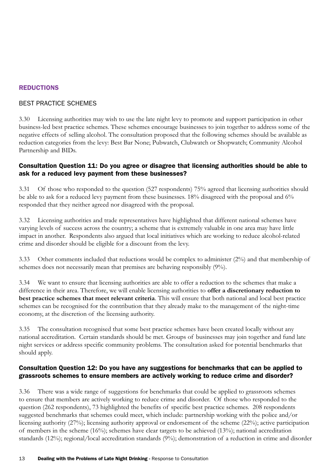#### **REDUCTIONS**

#### BEST PRACTICE SCHEMES

3.30 Licensing authorities may wish to use the late night levy to promote and support participation in other business-led best practice schemes. These schemes encourage businesses to join together to address some of the negative effects of selling alcohol. The consultation proposed that the following schemes should be available as reduction categories from the levy: Best Bar None; Pubwatch, Clubwatch or Shopwatch; Community Alcohol Partnership and BIDs.

#### Consultation Question 11: Do you agree or disagree that licensing authorities should be able to ask for a reduced levy payment from these businesses?

3.31 Of those who responded to the question (527 respondents) 75% agreed that licensing authorities should be able to ask for a reduced levy payment from these businesses. 18% disagreed with the proposal and 6% responded that they neither agreed nor disagreed with the proposal.

3.32 Licensing authorities and trade representatives have highlighted that different national schemes have varying levels of success across the country; a scheme that is extremely valuable in one area may have little impact in another. Respondents also argued that local initiatives which are working to reduce alcohol-related crime and disorder should be eligible for a discount from the levy.

3.33 Other comments included that reductions would be complex to administer (2%) and that membership of schemes does not necessarily mean that premises are behaving responsibly (9%).

3.34 We want to ensure that licensing authorities are able to offer a reduction to the schemes that make a difference in their area. Therefore, we will enable licensing authorities to **offer a discretionary reduction to best practice schemes that meet relevant criteria**. This will ensure that both national and local best practice schemes can be recognised for the contribution that they already make to the management of the night-time economy, at the discretion of the licensing authority.

3.35 The consultation recognised that some best practice schemes have been created locally without any national accreditation. Certain standards should be met. Groups of businesses may join together and fund late night services or address specific community problems. The consultation asked for potential benchmarks that should apply.

#### Consultation Question 12: Do you have any suggestions for benchmarks that can be applied to grassroots schemes to ensure members are actively working to reduce crime and disorder?

3.36 There was a wide range of suggestions for benchmarks that could be applied to grassroots schemes to ensure that members are actively working to reduce crime and disorder. Of those who responded to the question (262 respondents), 73 highlighted the benefits of specific best practice schemes. 208 respondents suggested benchmarks that schemes could meet, which include: partnership working with the police and/or licensing authority (27%); licensing authority approval or endorsement of the scheme (22%); active participation of members in the scheme (16%); schemes have clear targets to be achieved (13%); national accreditation standards (12%); regional/local accreditation standards (9%); demonstration of a reduction in crime and disorder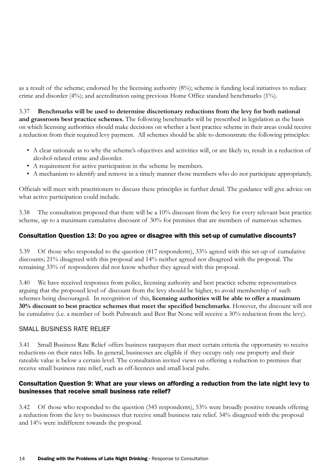as a result of the scheme; endorsed by the licensing authority (8%); scheme is funding local initiatives to reduce crime and disorder (4%); and accreditation using previous Home Office standard benchmarks (1%).

3.37 **Benchmarks will be used to determine discretionary reductions from the levy for both national and grassroots best practice schemes.** The following benchmarks will be prescribed in legislation as the basis on which licensing authorities should make decisions on whether a best practice scheme in their areas could receive a reduction from their required levy payment. All schemes should be able to demonstrate the following principles:

- • A clear rationale as to why the scheme's objectives and activities will, or are likely to, result in a reduction of alcohol-related crime and disorder.
- A requirement for active participation in the scheme by members.
- • A mechanism to identify and remove in a timely manner those members who do not participate appropriately.

Officials will meet with practitioners to discuss these principles in further detail. The guidance will give advice on what active participation could include.

3.38 The consultation proposed that there will be a 10% discount from the levy for every relevant best practice scheme, up to a maximum cumulative discount of 30% for premises that are members of numerous schemes.

#### Consultation Question 13: Do you agree or disagree with this set-up of cumulative discounts?

3.39 Of those who responded to the question (417 respondents), 33% agreed with this set-up of cumulative discounts; 21% disagreed with this proposal and 14% neither agreed nor disagreed with the proposal. The remaining 33% of respondents did not know whether they agreed with this proposal.

3.40 We have received responses from police, licensing authority and best practice scheme representatives arguing that the proposed level of discount from the levy should be higher, to avoid membership of such schemes being discouraged. In recognition of this, **licensing authorities will be able to offer a maximum 30% discount to best practice schemes that meet the specified benchmarks**. However, the discount will not be cumulative (i.e. a member of both Pubwatch and Best Bar None will receive a 30% reduction from the levy).

#### SMALL BUSINESS RATE RELIEF

3.41 Small Business Rate Relief offers business ratepayers that meet certain criteria the opportunity to receive reductions on their rates bills. In general, businesses are eligible if they occupy only one property and their rateable value is below a certain level. The consultation invited views on offering a reduction to premises that receive small business rate relief, such as off-licences and small local pubs.

#### Consultation Question 9: What are your views on affording a reduction from the late night levy to businesses that receive small business rate relief?

3.42 Of those who responded to the question (345 respondents), 53% were broadly positive towards offering a reduction from the levy to businesses that receive small business rate relief. 34% disagreed with the proposal and 14% were indifferent towards the proposal.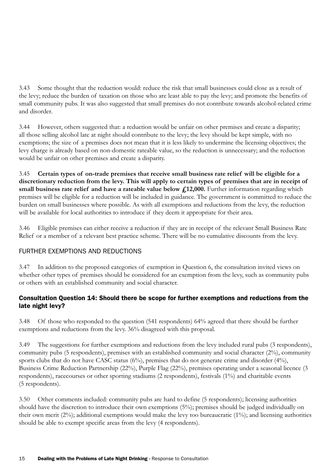3.43 Some thought that the reduction would: reduce the risk that small businesses could close as a result of the levy; reduce the burden of taxation on those who are least able to pay the levy; and promote the benefits of small community pubs. It was also suggested that small premises do not contribute towards alcohol-related crime and disorder.

3.44 However, others suggested that: a reduction would be unfair on other premises and create a disparity; all those selling alcohol late at night should contribute to the levy; the levy should be kept simple, with no exemptions; the size of a premises does not mean that it is less likely to undermine the licensing objectives; the levy charge is already based on non-domestic rateable value, so the reduction is unnecessary; and the reduction would be unfair on other premises and create a disparity.

3.45 **Certain types of on-trade premises that receive small business rate relief will be eligible for a discretionary reduction from the levy. This will apply to certain types of premises that are in receipt of**  small business rate relief and have a rateable value below  $f<sub>12</sub>000$ . Further information regarding which premises will be eligible for a reduction will be included in guidance. The government is committed to reduce the burden on small businesses where possible. As with all exemptions and reductions from the levy, the reduction will be available for local authorities to introduce if they deem it appropriate for their area.

3.46 Eligible premises can either receive a reduction if they are in receipt of the relevant Small Business Rate Relief or a member of a relevant best practice scheme. There will be no cumulative discounts from the levy.

## FURTHER EXEMPTIONS AND REDUCTIONS

3.47 In addition to the proposed categories of exemption in Question 6, the consultation invited views on whether other types of premises should be considered for an exemption from the levy, such as community pubs or others with an established community and social character.

## Consultation Question 14: Should there be scope for further exemptions and reductions from the late night levy?

3.48 Of those who responded to the question (541 respondents) 64% agreed that there should be further exemptions and reductions from the levy. 36% disagreed with this proposal.

3.49 The suggestions for further exemptions and reductions from the levy included rural pubs (3 respondents), community pubs (5 respondents), premises with an established community and social character (2%), community sports clubs that do not have CASC status (6%), premises that do not generate crime and disorder (4%), Business Crime Reduction Partnership (22%), Purple Flag (22%), premises operating under a seasonal licence (3 respondents), racecourses or other sporting stadiums (2 respondents), festivals (1%) and charitable events (5 respondents).

3.50 Other comments included: community pubs are hard to define (5 respondents); licensing authorities should have the discretion to introduce their own exemptions (5%); premises should be judged individually on their own merit (2%); additional exemptions would make the levy too bureaucratic (1%); and licensing authorities should be able to exempt specific areas from the levy (4 respondents).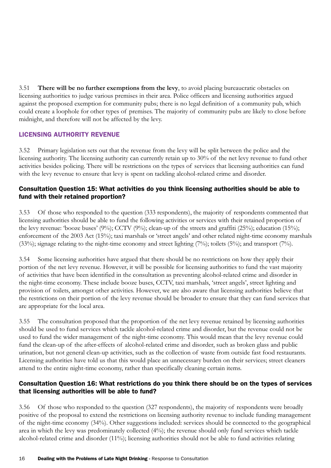3.51 **There will be no further exemptions from the levy**, to avoid placing bureaucratic obstacles on licensing authorities to judge various premises in their area. Police officers and licensing authorities argued against the proposed exemption for community pubs; there is no legal definition of a community pub, which could create a loophole for other types of premises. The majority of community pubs are likely to close before midnight, and therefore will not be affected by the levy.

## LICENSING AUTHORITY REVENUE

3.52 Primary legislation sets out that the revenue from the levy will be split between the police and the licensing authority. The licensing authority can currently retain up to 30% of the net levy revenue to fund other activities besides policing. There will be restrictions on the types of services that licensing authorities can fund with the levy revenue to ensure that levy is spent on tackling alcohol-related crime and disorder.

## Consultation Question 15: What activities do you think licensing authorities should be able to fund with their retained proportion?

3.53 Of those who responded to the question (333 respondents), the majority of respondents commented that licensing authorities should be able to fund the following activities or services with their retained proportion of the levy revenue: 'booze buses' (9%); CCTV (9%); clean-up of the streets and graffiti (25%); education (15%); enforcement of the 2003 Act (15%); taxi marshals or 'street angels' and other related night-time economy marshals (33%); signage relating to the night-time economy and street lighting (7%); toilets (5%); and transport (7%).

3.54 Some licensing authorities have argued that there should be no restrictions on how they apply their portion of the net levy revenue. However, it will be possible for licensing authorities to fund the vast majority of activities that have been identified in the consultation as preventing alcohol-related crime and disorder in the night-time economy. These include booze buses, CCTV, taxi marshals, 'street angels', street lighting and provision of toilets, amongst other activities. However, we are also aware that licensing authorities believe that the restrictions on their portion of the levy revenue should be broader to ensure that they can fund services that are appropriate for the local area.

3.55 The consultation proposed that the proportion of the net levy revenue retained by licensing authorities should be used to fund services which tackle alcohol-related crime and disorder, but the revenue could not be used to fund the wider management of the night-time economy. This would mean that the levy revenue could fund the clean-up of the after-effects of alcohol-related crime and disorder, such as broken glass and public urination, but not general clean-up activities, such as the collection of waste from outside fast food restaurants. Licensing authorities have told us that this would place an unnecessary burden on their services; street cleaners attend to the entire night-time economy, rather than specifically cleaning certain items.

## Consultation Question 16: What restrictions do you think there should be on the types of services that licensing authorities will be able to fund?

3.56 Of those who responded to the question (327 respondents), the majority of respondents were broadly positive of the proposal to extend the restrictions on licensing authority revenue to include funding management of the night-time economy (34%). Other suggestions included: services should be connected to the geographical area in which the levy was predominately collected (4%); the revenue should only fund services which tackle alcohol-related crime and disorder (11%); licensing authorities should not be able to fund activities relating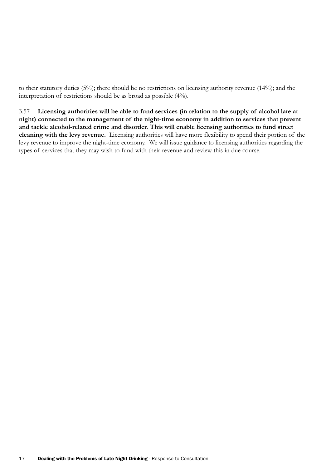to their statutory duties (5%); there should be no restrictions on licensing authority revenue (14%); and the interpretation of restrictions should be as broad as possible (4%).

3.57 **Licensing authorities will be able to fund services (in relation to the supply of alcohol late at night) connected to the management of the night-time economy in addition to services that prevent and tackle alcohol-related crime and disorder. This will enable licensing authorities to fund street cleaning with the levy revenue.** Licensing authorities will have more flexibility to spend their portion of the levy revenue to improve the night-time economy. We will issue guidance to licensing authorities regarding the types of services that they may wish to fund with their revenue and review this in due course.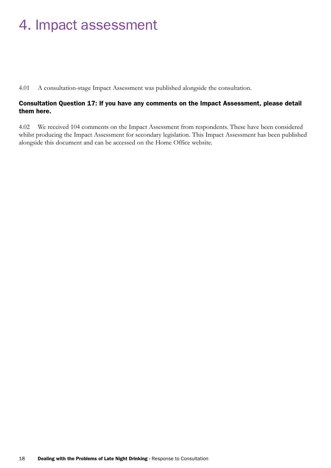## 4. Impact assessment

4.01 A consultation-stage Impact Assessment was published alongside the consultation.

#### Consultation Question 17: If you have any comments on the Impact Assessment, please detail them here.

4.02 We received 104 comments on the Impact Assessment from respondents. These have been considered whilst producing the Impact Assessment for secondary legislation. This Impact Assessment has been published alongside this document and can be accessed on the Home Office website.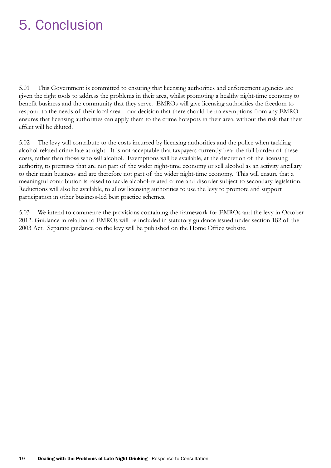## 5. Conclusion

5.01 This Government is committed to ensuring that licensing authorities and enforcement agencies are given the right tools to address the problems in their area, whilst promoting a healthy night-time economy to benefit business and the community that they serve. EMROs will give licensing authorities the freedom to respond to the needs of their local area – our decision that there should be no exemptions from any EMRO ensures that licensing authorities can apply them to the crime hotspots in their area, without the risk that their effect will be diluted.

5.02 The levy will contribute to the costs incurred by licensing authorities and the police when tackling alcohol-related crime late at night. It is not acceptable that taxpayers currently bear the full burden of these costs, rather than those who sell alcohol. Exemptions will be available, at the discretion of the licensing authority, to premises that are not part of the wider night-time economy or sell alcohol as an activity ancillary to their main business and are therefore not part of the wider night-time economy. This will ensure that a meaningful contribution is raised to tackle alcohol-related crime and disorder subject to secondary legislation. Reductions will also be available, to allow licensing authorities to use the levy to promote and support participation in other business-led best practice schemes.

5.03 We intend to commence the provisions containing the framework for EMROs and the levy in October 2012. Guidance in relation to EMROs will be included in statutory guidance issued under section 182 of the 2003 Act. Separate guidance on the levy will be published on the Home Office website.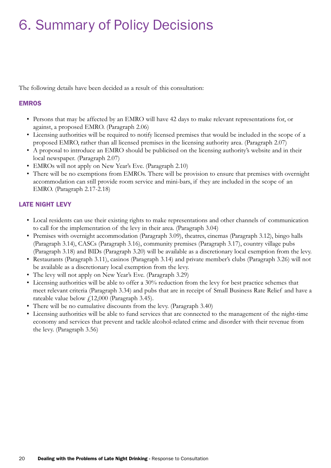## 6. Summary of Policy Decisions

The following details have been decided as a result of this consultation:

### EMROS

- Persons that may be affected by an EMRO will have 42 days to make relevant representations for, or against, a proposed EMRO. (Paragraph 2.06)
- • Licensing authorities will be required to notify licensed premises that would be included in the scope of a proposed EMRO, rather than all licensed premises in the licensing authority area. (Paragraph 2.07)
- A proposal to introduce an EMRO should be publicised on the licensing authority's website and in their local newspaper. (Paragraph 2.07)
- EMROs will not apply on New Year's Eve. (Paragraph 2.10)
- There will be no exemptions from EMROs. There will be provision to ensure that premises with overnight accommodation can still provide room service and mini-bars, if they are included in the scope of an EMRO. (Paragraph 2.17-2.18)

## LATE NIGHT LEVY

- • Local residents can use their existing rights to make representations and other channels of communication to call for the implementation of the levy in their area. (Paragraph 3.04)
- Premises with overnight accommodation (Paragraph 3.09), theatres, cinemas (Paragraph 3.12), bingo halls (Paragraph 3.14), CASCs (Paragraph 3.16), community premises (Paragraph 3.17), country village pubs (Paragraph 3.18) and BIDs (Paragraph 3.20) will be available as a discretionary local exemption from the levy.
- Restaurants (Paragraph 3.11), casinos (Paragraph 3.14) and private member's clubs (Paragraph 3.26) will not be available as a discretionary local exemption from the levy.
- The levy will not apply on New Year's Eve. (Paragraph 3.29)
- Licensing authorities will be able to offer a 30% reduction from the levy for best practice schemes that meet relevant criteria (Paragraph 3.34) and pubs that are in receipt of Small Business Rate Relief and have a rateable value below  $f(12,000)$  (Paragraph 3.45).
- There will be no cumulative discounts from the levy. (Paragraph 3.40)
- • Licensing authorities will be able to fund services that are connected to the management of the night-time economy and services that prevent and tackle alcohol-related crime and disorder with their revenue from the levy. (Paragraph 3.56)